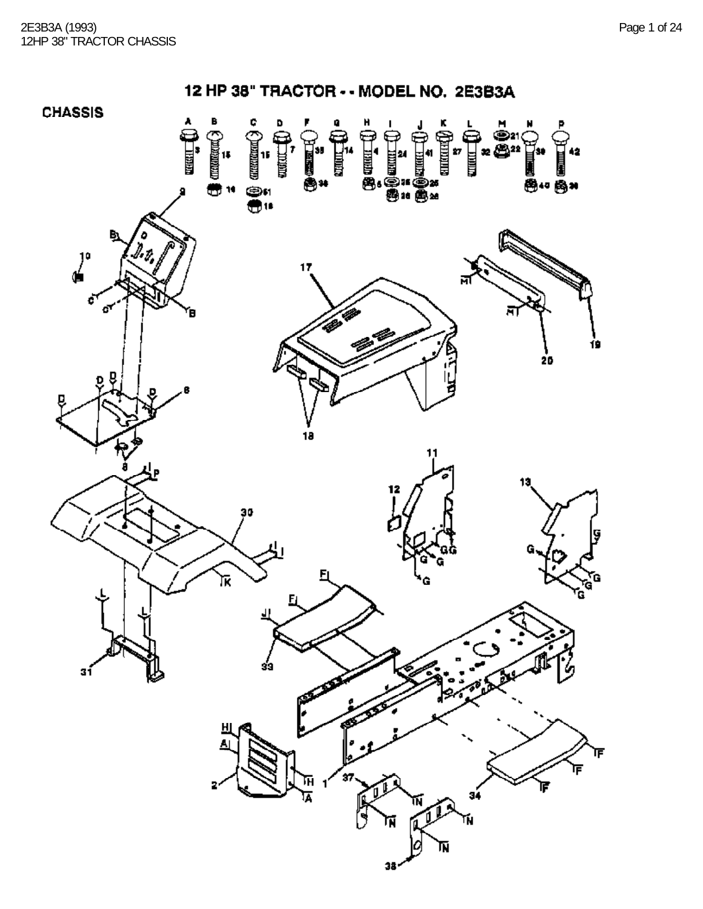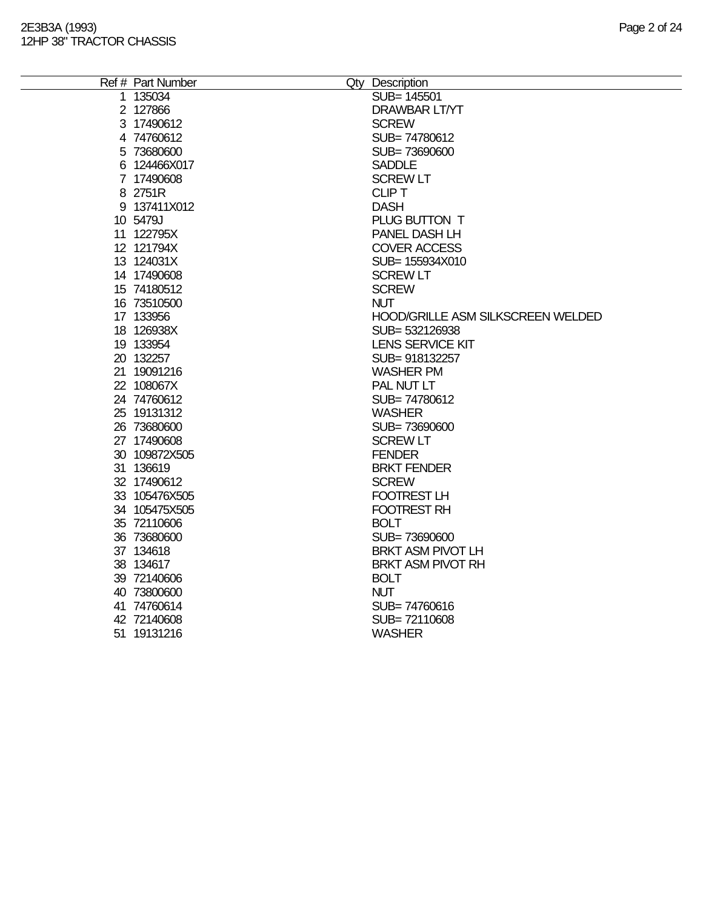| Ref # Part Number | Qty Description                          |
|-------------------|------------------------------------------|
| 1 135034          | SUB= 145501                              |
| 2 127866          | <b>DRAWBAR LT/YT</b>                     |
| 3 17490612        | <b>SCREW</b>                             |
| 4 74760612        | SUB=74780612                             |
| 5 73680600        | SUB=73690600                             |
| 6 124466X017      | <b>SADDLE</b>                            |
| 7 17490608        | <b>SCREW LT</b>                          |
| 8 2751R           | <b>CLIP T</b>                            |
| 9 137411X012      | <b>DASH</b>                              |
| 10 5479J          | PLUG BUTTON T                            |
| 11 122795X        | PANEL DASH LH                            |
| 12 121794X        | <b>COVER ACCESS</b>                      |
| 13 124031X        | SUB= 155934X010                          |
| 14 17490608       | <b>SCREW LT</b>                          |
| 15 74180512       | <b>SCREW</b>                             |
| 16 73510500       | <b>NUT</b>                               |
| 17 133956         | <b>HOOD/GRILLE ASM SILKSCREEN WELDED</b> |
| 18 126938X        | SUB=532126938                            |
| 19 133954         | <b>LENS SERVICE KIT</b>                  |
| 20 132257         | SUB=918132257                            |
| 21 19091216       | <b>WASHER PM</b>                         |
| 22 108067X        | PAL NUT LT                               |
| 24 74760612       | SUB=74780612                             |
| 25 19131312       | <b>WASHER</b>                            |
| 26 73680600       | SUB=73690600                             |
| 27 17490608       | <b>SCREW LT</b>                          |
| 30 109872X505     | <b>FENDER</b>                            |
| 31 136619         | <b>BRKT FENDER</b>                       |
| 32 17490612       | <b>SCREW</b>                             |
| 33 105476X505     | <b>FOOTREST LH</b>                       |
| 34 105475X505     | <b>FOOTREST RH</b>                       |
| 35 72110606       | <b>BOLT</b>                              |
| 36 73680600       | SUB=73690600                             |
| 37 134618         | <b>BRKT ASM PIVOT LH</b>                 |
| 38 134617         | <b>BRKT ASM PIVOT RH</b>                 |
| 39 72140606       | <b>BOLT</b>                              |
| 40 73800600       | <b>NUT</b>                               |
| 41 74760614       | SUB=74760616                             |
| 42 72140608       | SUB=72110608                             |
| 51 19131216       | <b>WASHER</b>                            |
|                   |                                          |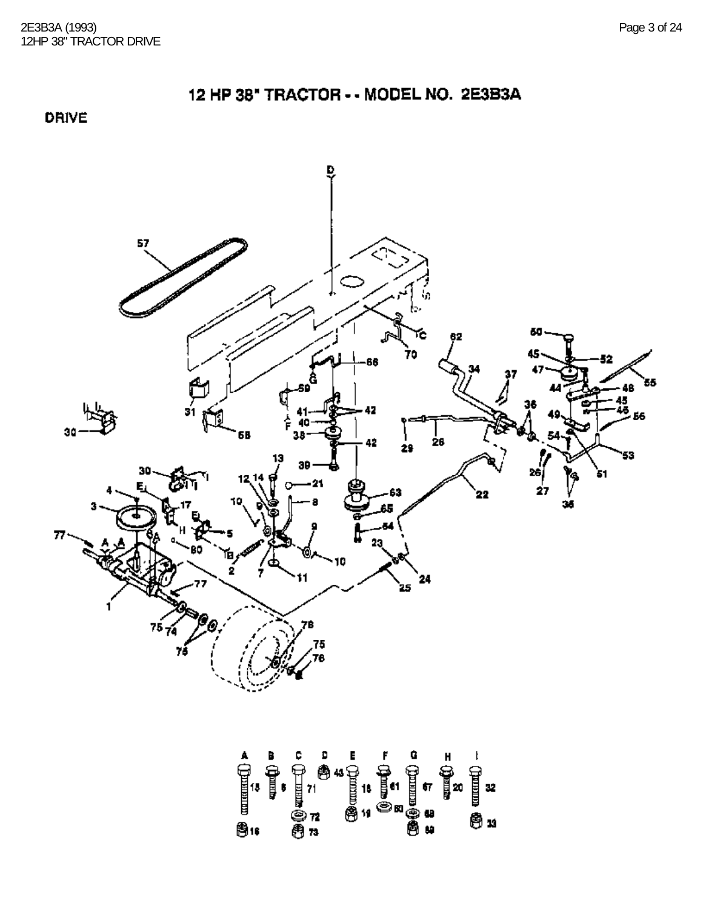DRIVE

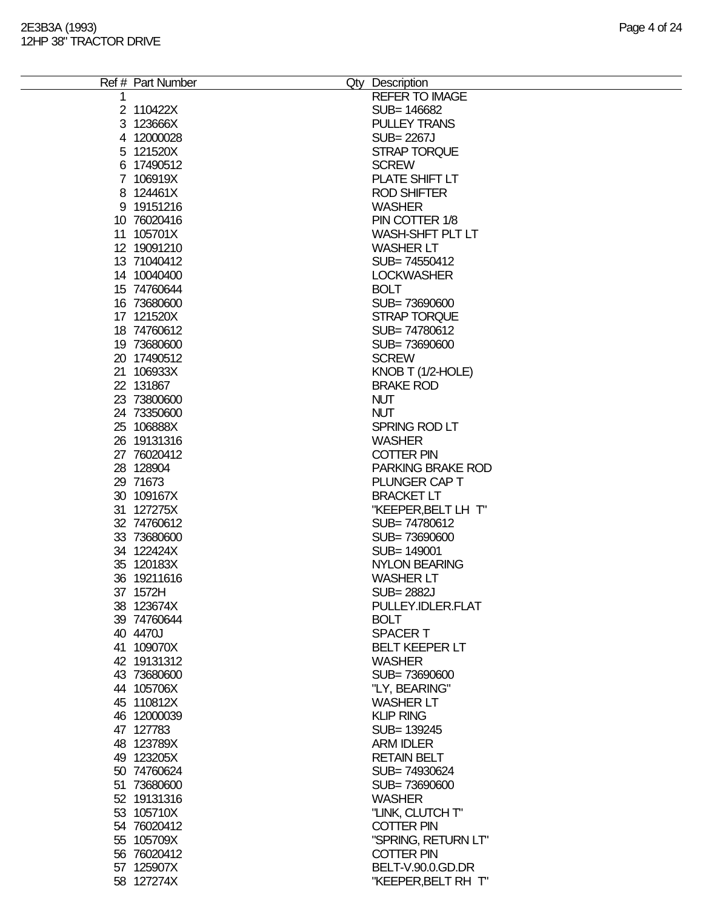| Ref # Part Number | Qty Description          |
|-------------------|--------------------------|
|                   | <b>REFER TO IMAGE</b>    |
| 2 110422X         | SUB= 146682              |
| 3 123666X         | <b>PULLEY TRANS</b>      |
| 4 12000028        | <b>SUB=2267J</b>         |
| 5 121520X         | <b>STRAP TORQUE</b>      |
| 6 17490512        | <b>SCREW</b>             |
| 7 106919X         | PLATE SHIFT LT           |
| 8 124461X         | <b>ROD SHIFTER</b>       |
| 9 19151216        | <b>WASHER</b>            |
| 10 76020416       | PIN COTTER 1/8           |
| 11 105701X        | WASH-SHFT PLT LT         |
| 12 19091210       | <b>WASHER LT</b>         |
| 13 71040412       | SUB=74550412             |
| 14 10040400       | <b>LOCKWASHER</b>        |
| 15 74760644       | <b>BOLT</b>              |
| 16 73680600       | SUB=73690600             |
| 17 121520X        | <b>STRAP TORQUE</b>      |
| 18 74760612       | SUB=74780612             |
| 19 73680600       | SUB=73690600             |
| 20 17490512       | <b>SCREW</b>             |
| 21 106933X        | KNOB T (1/2-HOLE)        |
| 22 131867         | <b>BRAKE ROD</b>         |
| 23 73800600       | <b>NUT</b>               |
| 24 73350600       | <b>NUT</b>               |
| 25 106888X        | SPRING ROD LT            |
| 26 19131316       | <b>WASHER</b>            |
| 27 76020412       | <b>COTTER PIN</b>        |
| 28 128904         | <b>PARKING BRAKE ROD</b> |
| 29 71673          | PLUNGER CAP T            |
| 30 109167X        | <b>BRACKET LT</b>        |
| 31 127275X        | "KEEPER, BELT LH T"      |
| 32 74760612       | SUB=74780612             |
| 33 73680600       | SUB=73690600             |
| 34 122424X        | SUB= 149001              |
| 35 120183X        | <b>NYLON BEARING</b>     |
| 36 19211616       | <b>WASHER LT</b>         |
| 37 1572H          | <b>SUB=2882J</b>         |
| 38 123674X        | PULLEY.IDLER.FLAT        |
| 39 74760644       | <b>BOLT</b>              |
| 40 4470J          | <b>SPACERT</b>           |
| 41 109070X        | <b>BELT KEEPER LT</b>    |
| 42 19131312       | <b>WASHER</b>            |
| 43 73680600       | SUB=73690600             |
| 44 105706X        | "LY, BEARING"            |
| 45 110812X        | <b>WASHER LT</b>         |
| 46 12000039       | <b>KLIP RING</b>         |
| 47 127783         | SUB= 139245              |
| 48 123789X        | <b>ARM IDLER</b>         |
| 49 123205X        | <b>RETAIN BELT</b>       |
| 50 74760624       | SUB=74930624             |
| 51 73680600       | SUB=73690600             |
| 52 19131316       | <b>WASHER</b>            |
| 53 105710X        | "LINK, CLUTCH T"         |
| 54 76020412       | <b>COTTER PIN</b>        |
| 55 105709X        | "SPRING, RETURN LT"      |
| 56 76020412       | <b>COTTER PIN</b>        |
| 57 125907X        | BELT-V.90.0.GD.DR        |
| 58 127274X        | "KEEPER, BELT RH T"      |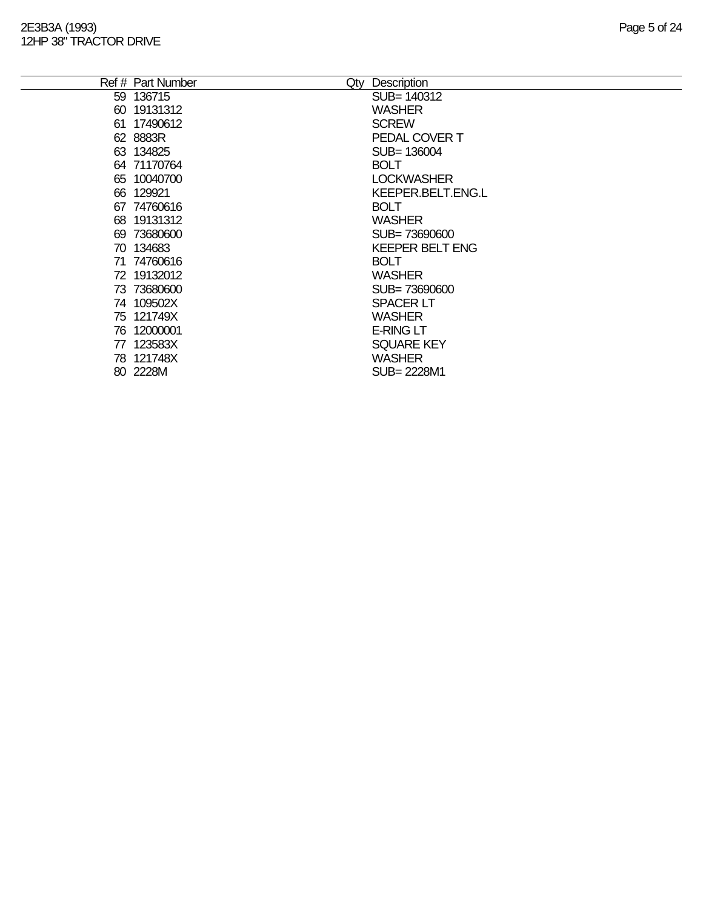|    | Ref # Part Number | Qty | Description              |
|----|-------------------|-----|--------------------------|
|    | 59 136715         |     | SUB= 140312              |
|    | 60 19131312       |     | <b>WASHER</b>            |
|    | 61 17490612       |     | <b>SCREW</b>             |
|    | 62 8883R          |     | PEDAL COVER T            |
|    | 63 134825         |     | SUB= 136004              |
|    | 64 71170764       |     | <b>BOLT</b>              |
|    | 65 10040700       |     | <b>LOCKWASHER</b>        |
|    | 66 129921         |     | <b>KEEPER.BELT.ENG.L</b> |
|    | 67 74760616       |     | <b>BOLT</b>              |
|    | 68 19131312       |     | <b>WASHER</b>            |
|    | 69 73680600       |     | SUB=73690600             |
|    | 70 134683         |     | <b>KEEPER BELT ENG</b>   |
|    | 71 74760616       |     | <b>BOLT</b>              |
|    | 72 19132012       |     | <b>WASHER</b>            |
|    | 73 73680600       |     | SUB=73690600             |
|    | 74 109502X        |     | <b>SPACER LT</b>         |
|    | 75 121749X        |     | <b>WASHER</b>            |
|    | 76 12000001       |     | <b>E-RING LT</b>         |
| 77 | 123583X           |     | <b>SQUARE KEY</b>        |
|    | 78 121748X        |     | <b>WASHER</b>            |
|    | 80 2228M          |     | SUB= 2228M1              |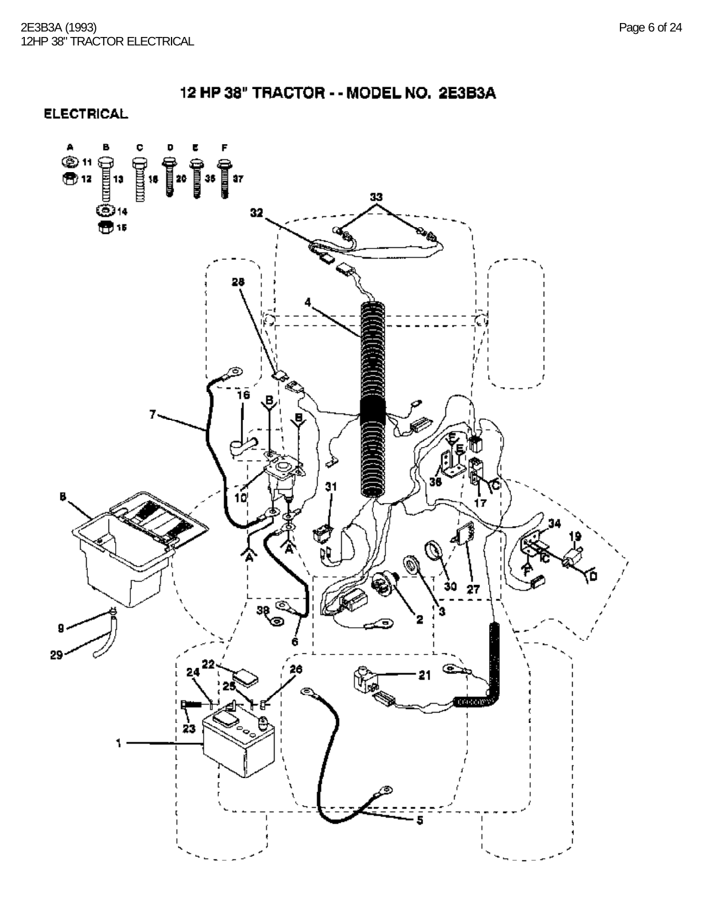**ELECTRICAL** 

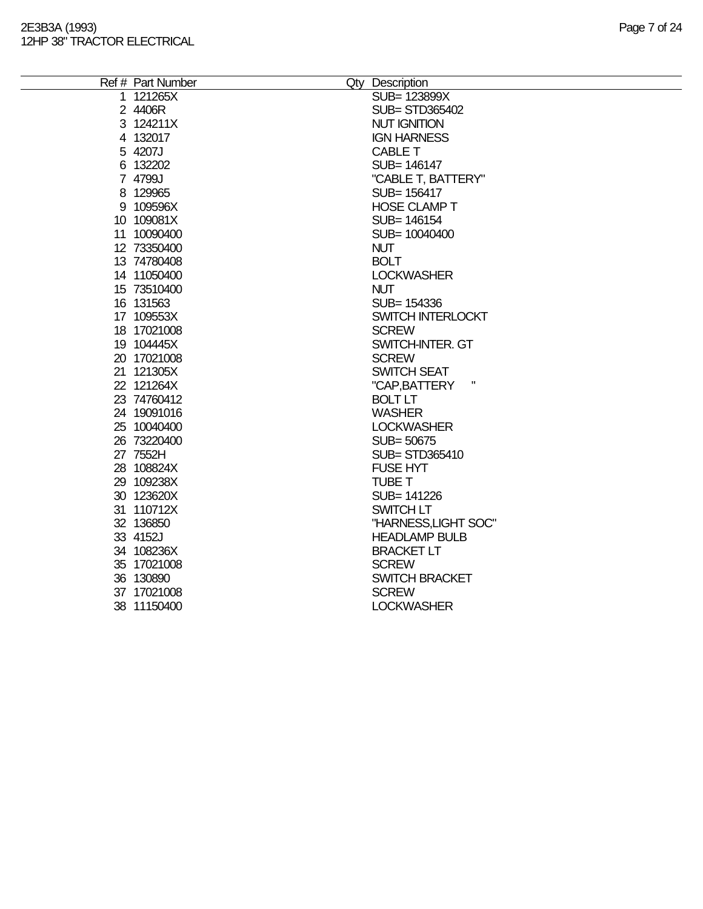| Ref # Part Number | Qty Description       |
|-------------------|-----------------------|
| 1 121265X         | SUB= 123899X          |
| 2 4406R           | <b>SUB= STD365402</b> |
| 3 124211X         | <b>NUT IGNITION</b>   |
| 4 132017          | <b>IGN HARNESS</b>    |
| 5 4207J           | <b>CABLE T</b>        |
| 6 132202          | SUB= 146147           |
| 7 4799J           | "CABLE T, BATTERY"    |
| 8 129965          | SUB= 156417           |
| 9 109596X         | <b>HOSE CLAMP T</b>   |
| 10 109081X        | SUB= 146154           |
| 11 10090400       | SUB= 10040400         |
| 12 73350400       | <b>NUT</b>            |
| 13 74780408       | <b>BOLT</b>           |
| 14 11050400       | <b>LOCKWASHER</b>     |
| 15 73510400       | <b>NUT</b>            |
| 16 131563         | SUB= 154336           |
| 17 109553X        | SWITCH INTERLOCKT     |
| 18 17021008       | <b>SCREW</b>          |
| 19 104445X        | SWITCH-INTER. GT      |
| 20 17021008       | <b>SCREW</b>          |
| 21 121305X        | <b>SWITCH SEAT</b>    |
| 22 121264X        | "CAP, BATTERY         |
| 23 74760412       | <b>BOLT LT</b>        |
| 24 19091016       | <b>WASHER</b>         |
| 25 10040400       | <b>LOCKWASHER</b>     |
| 26 73220400       | SUB= 50675            |
| 27 7552H          | SUB= STD365410        |
| 28 108824X        | <b>FUSE HYT</b>       |
| 29 109238X        | <b>TUBE T</b>         |
| 30 123620X        | SUB= 141226           |
| 31 110712X        | <b>SWITCH LT</b>      |
| 32 136850         | "HARNESS, LIGHT SOC"  |
| 33 4152J          | <b>HEADLAMP BULB</b>  |
| 34 108236X        | <b>BRACKET LT</b>     |
| 35 17021008       | <b>SCREW</b>          |
| 36 130890         | <b>SWITCH BRACKET</b> |
| 37 17021008       | <b>SCREW</b>          |
| 38 11150400       | <b>LOCKWASHER</b>     |
|                   |                       |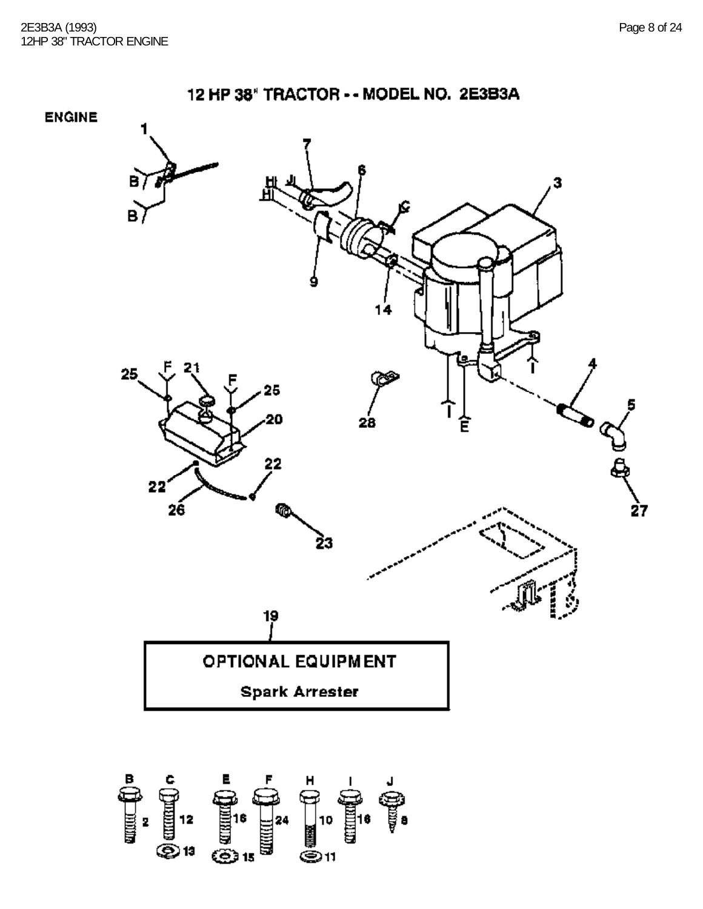



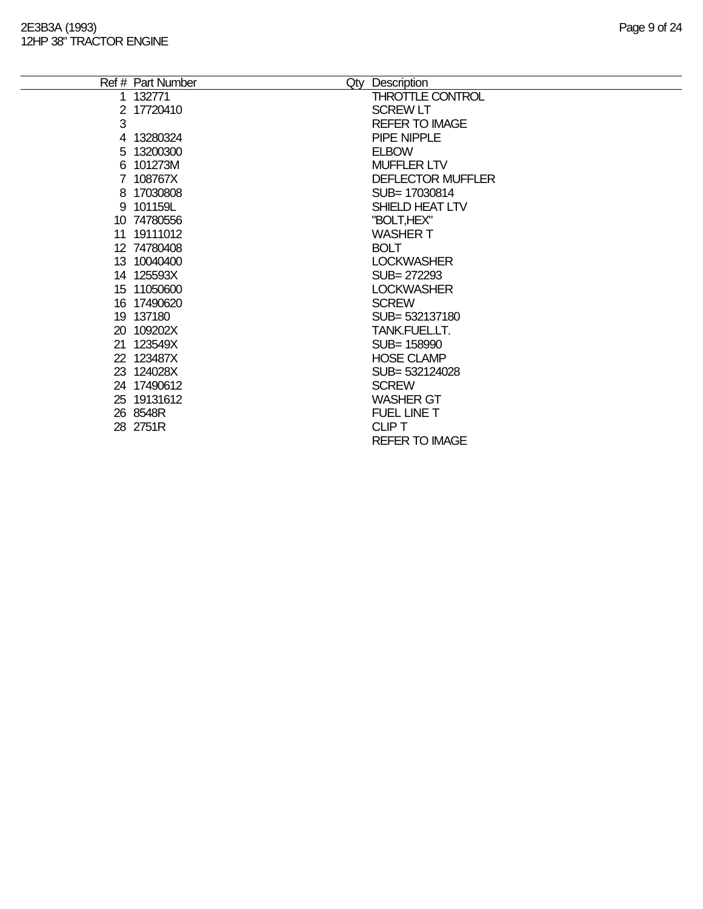|   |             | <b>QIV</b> | <b>DESCRIPTION</b>       |
|---|-------------|------------|--------------------------|
|   | 1 132771    |            | <b>THROTTLE CONTROL</b>  |
|   | 2 17720410  |            | <b>SCREW LT</b>          |
| 3 |             |            | <b>REFER TO IMAGE</b>    |
|   | 4 13280324  |            | PIPE NIPPLE              |
|   | 5 13200300  |            | <b>ELBOW</b>             |
|   | 6 101273M   |            | <b>MUFFLER LTV</b>       |
|   | 7 108767X   |            | <b>DEFLECTOR MUFFLER</b> |
|   | 8 17030808  |            | SUB= 17030814            |
|   | 9 101159L   |            | SHIELD HEAT LTV          |
|   | 10 74780556 |            | "BOLT,HEX"               |
|   | 11 19111012 |            | <b>WASHER T</b>          |
|   | 12 74780408 |            | <b>BOLT</b>              |
|   | 13 10040400 |            | <b>LOCKWASHER</b>        |
|   | 14 125593X  |            | SUB= 272293              |
|   | 15 11050600 |            | <b>LOCKWASHER</b>        |
|   | 16 17490620 |            | <b>SCREW</b>             |
|   | 19 137180   |            | SUB= 532137180           |
|   | 20 109202X  |            | TANK.FUEL.LT.            |
|   | 21 123549X  |            | SUB= 158990              |
|   | 22 123487X  |            | <b>HOSE CLAMP</b>        |
|   | 23 124028X  |            | SUB= 532124028           |
|   | 24 17490612 |            | <b>SCREW</b>             |
|   | 25 19131612 |            | <b>WASHER GT</b>         |
|   | 26 8548R    |            | FUEL LINE T              |
|   | 28 2751R    |            | <b>CLIP T</b>            |
|   |             |            | <b>REFER TO IMAGE</b>    |
|   |             |            |                          |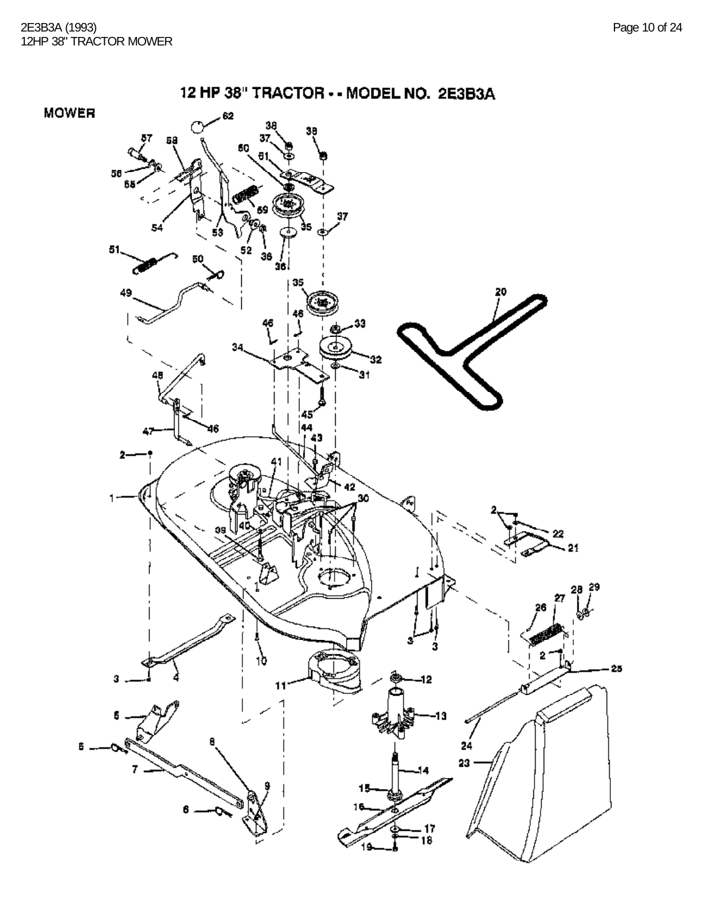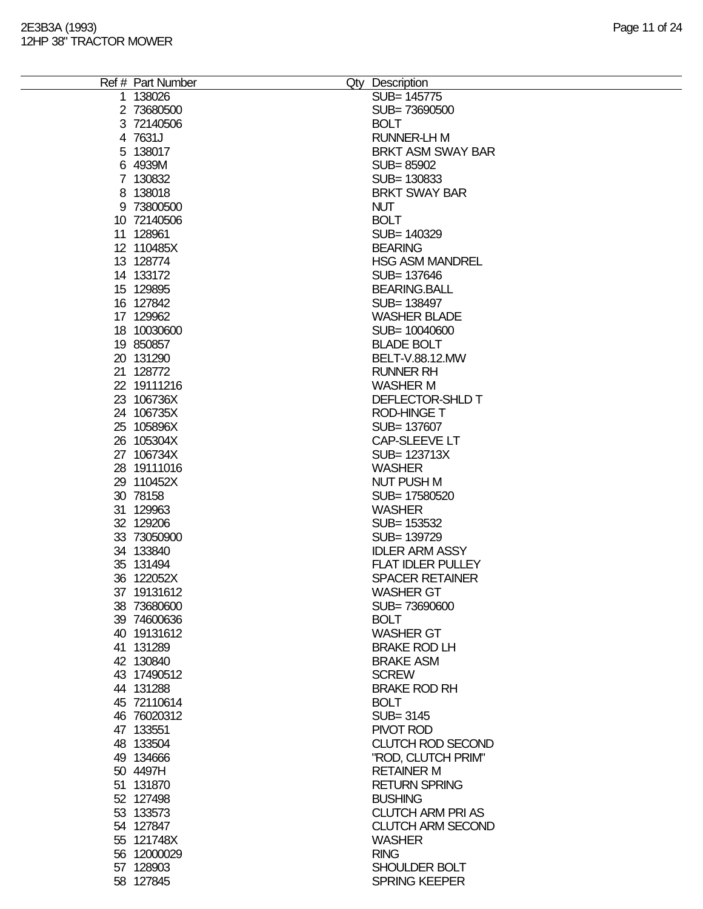| Ref # Part Number | Qty Description          |
|-------------------|--------------------------|
| 1 138026          | SUB= 145775              |
| 2 73680500        | SUB=73690500             |
| 3 72140506        | <b>BOLT</b>              |
| 4 7631J           | <b>RUNNER-LH M</b>       |
| 5 138017          | BRKT ASM SWAY BAR        |
| 6 4939M           | SUB=85902                |
| 7 130832          | SUB=130833               |
| 8 138018          | <b>BRKT SWAY BAR</b>     |
| 9 73800500        | <b>NUT</b>               |
|                   |                          |
| 10 72140506       | <b>BOLT</b>              |
| 11 128961         | SUB= 140329              |
| 12 110485X        | <b>BEARING</b>           |
| 13 128774         | <b>HSG ASM MANDREL</b>   |
| 14 133172         | SUB= 137646              |
| 15 129895         | <b>BEARING.BALL</b>      |
| 16 127842         | SUB= 138497              |
| 17 129962         | <b>WASHER BLADE</b>      |
| 18 10030600       | SUB= 10040600            |
| 19 850857         | <b>BLADE BOLT</b>        |
| 20 131290         | BELT-V.88.12.MW          |
| 21 128772         | <b>RUNNER RH</b>         |
| 22 19111216       | <b>WASHER M</b>          |
| 23 106736X        | DEFLECTOR-SHLD T         |
| 24 106735X        | <b>ROD-HINGE T</b>       |
| 25 105896X        | SUB= 137607              |
| 26 105304X        | CAP-SLEEVE LT            |
| 27 106734X        | SUB= 123713X             |
| 28 19111016       | <b>WASHER</b>            |
| 29 110452X        | <b>NUT PUSH M</b>        |
| 30 78158          | SUB= 17580520            |
| 31 129963         | <b>WASHER</b>            |
| 32 129206         | SUB= 153532              |
| 33 73050900       | SUB= 139729              |
| 34 133840         | <b>IDLER ARM ASSY</b>    |
| 35 131494         | <b>FLAT IDLER PULLEY</b> |
|                   | <b>SPACER RETAINER</b>   |
| 36 122052X        |                          |
| 37 19131612       | <b>WASHER GT</b>         |
| 38 73680600       | SUB=73690600             |
| 39 74600636       | <b>BOLT</b>              |
| 40 19131612       | <b>WASHER GT</b>         |
| 41 131289         | <b>BRAKE ROD LH</b>      |
| 42 130840         | <b>BRAKE ASM</b>         |
| 43 17490512       | <b>SCREW</b>             |
| 44 131288         | <b>BRAKE ROD RH</b>      |
| 45 72110614       | <b>BOLT</b>              |
| 46 76020312       | SUB= 3145                |
| 47 133551         | PIVOT ROD                |
| 48 133504         | <b>CLUTCH ROD SECOND</b> |
| 49 134666         | "ROD, CLUTCH PRIM"       |
| 50 4497H          | <b>RETAINER M</b>        |
| 51 131870         | <b>RETURN SPRING</b>     |
| 52 127498         | <b>BUSHING</b>           |
| 53 133573         | <b>CLUTCH ARM PRI AS</b> |
| 54 127847         | <b>CLUTCH ARM SECOND</b> |
| 55 121748X        | <b>WASHER</b>            |
| 56 12000029       | <b>RING</b>              |
| 57 128903         | SHOULDER BOLT            |
| 58 127845         | <b>SPRING KEEPER</b>     |
|                   |                          |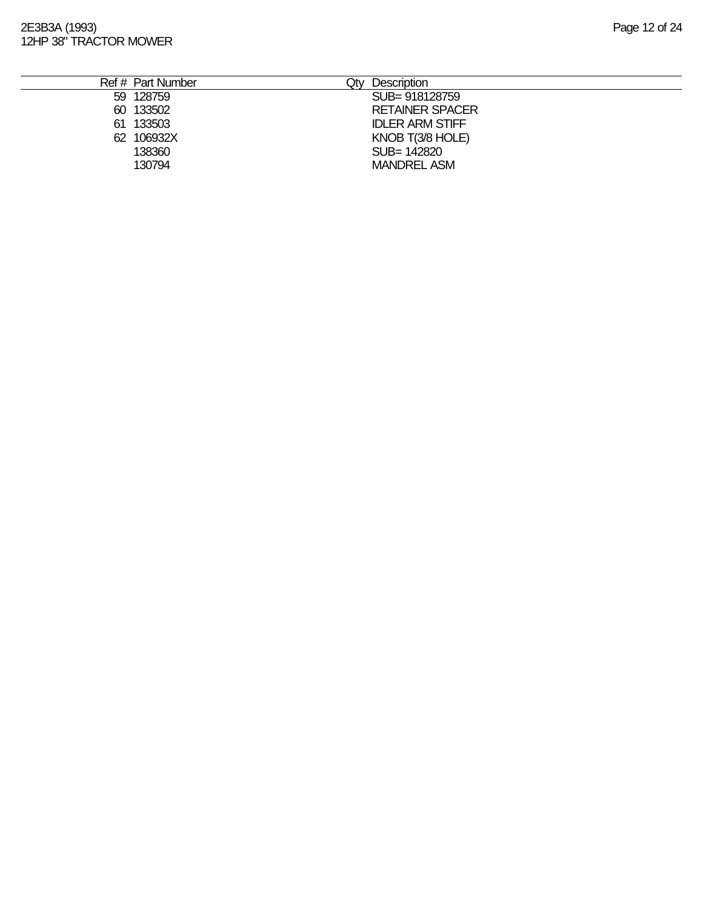| Ref # Part Number | Description<br>$\Delta t$ |
|-------------------|---------------------------|
| 59 128759         | SUB= 918128759            |
| 60 133502         | <b>RETAINER SPACER</b>    |
| 133503<br>61      | <b>IDLER ARM STIFF</b>    |
| 106932X<br>62     | KNOB T(3/8 HOLE)          |
| 138360            | SUB= 142820               |
| 130794            | <b>MANDREL ASM</b>        |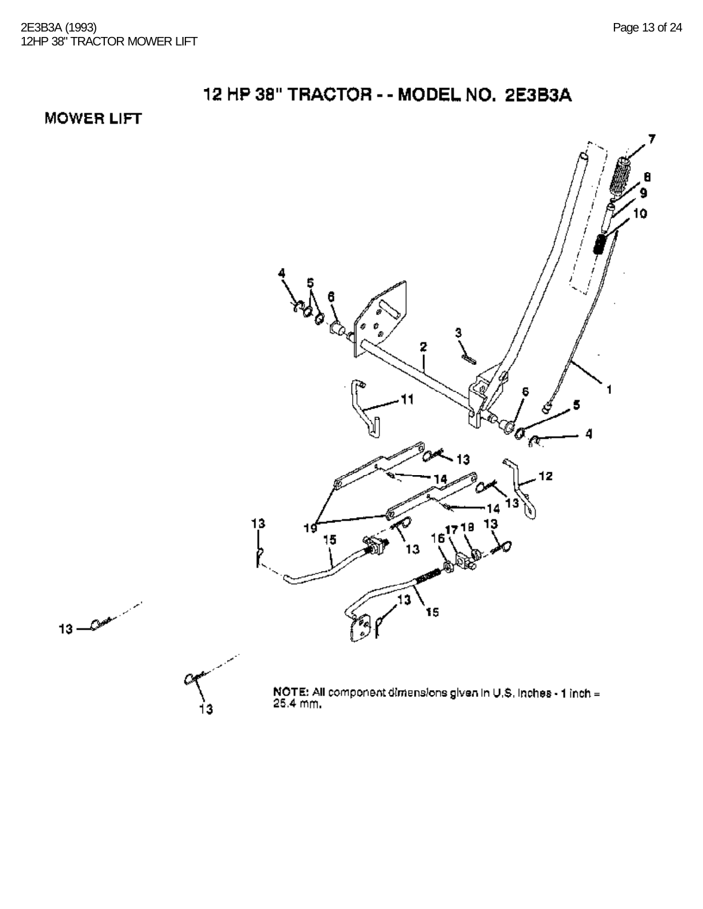### **MOWER LIFT**

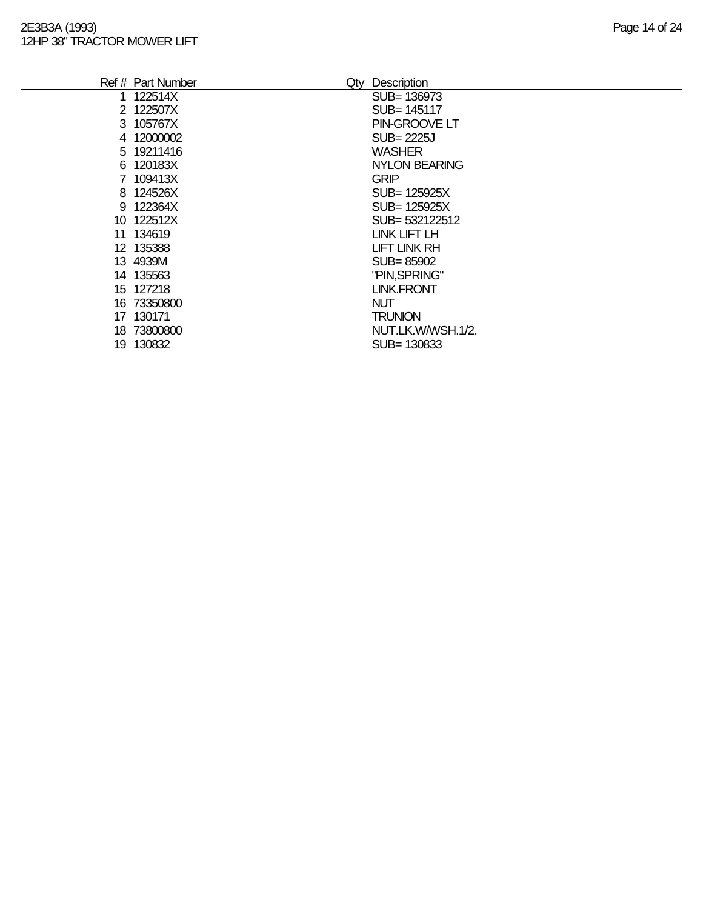|    | Ref # Part Number | Qty | Description       |
|----|-------------------|-----|-------------------|
|    | 122514X           |     | SUB= 136973       |
|    | 2 122507X         |     | SUB= 145117       |
|    | 3 105767X         |     | PIN-GROOVE LT     |
|    | 4 12000002        |     | SUB= 2225J        |
|    | 5 19211416        |     | <b>WASHER</b>     |
|    | 6 120183X         |     | NYLON BEARING     |
|    | 7 109413X         |     | <b>GRIP</b>       |
|    | 8 124526X         |     | SUB= 125925X      |
|    | 9 122364X         |     | SUB= 125925X      |
|    | 10 122512X        |     | SUB= 532122512    |
|    | 11 134619         |     | LINK LIFT LH      |
|    | 12 135388         |     | LIFT LINK RH      |
|    | 13 4939M          |     | SUB=85902         |
|    | 14 135563         |     | "PIN, SPRING"     |
|    | 15 127218         |     | <b>LINK.FRONT</b> |
|    | 16 73350800       |     | <b>NUT</b>        |
| 17 | 130171            |     | <b>TRUNION</b>    |
|    | 18 73800800       |     | NUT.LK.W/WSH.1/2. |
| 19 | 130832            |     | SUB= 130833       |
|    |                   |     |                   |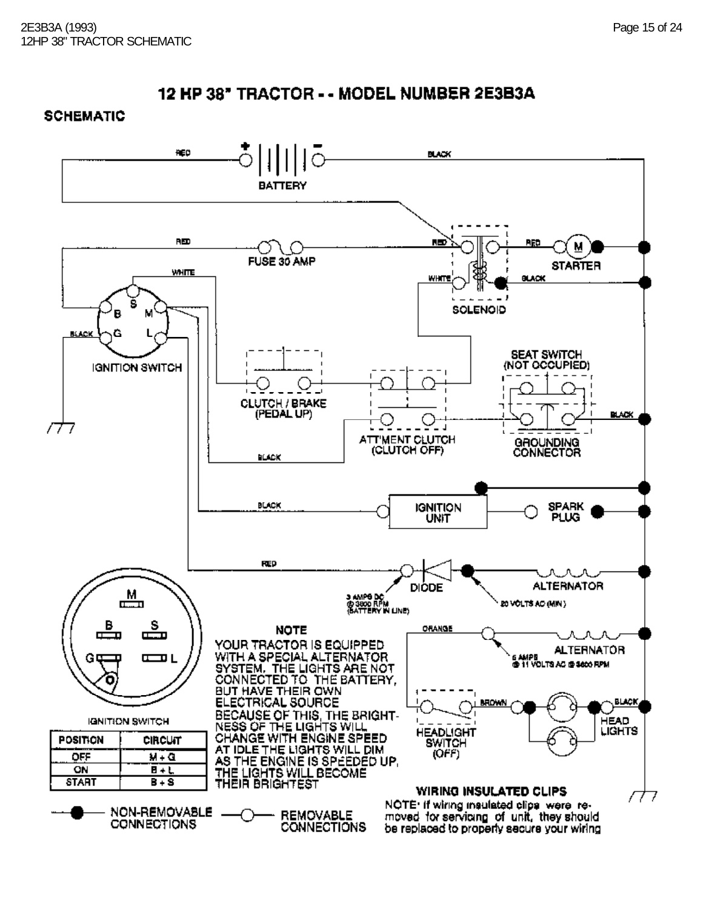### **SCHEMATIC**

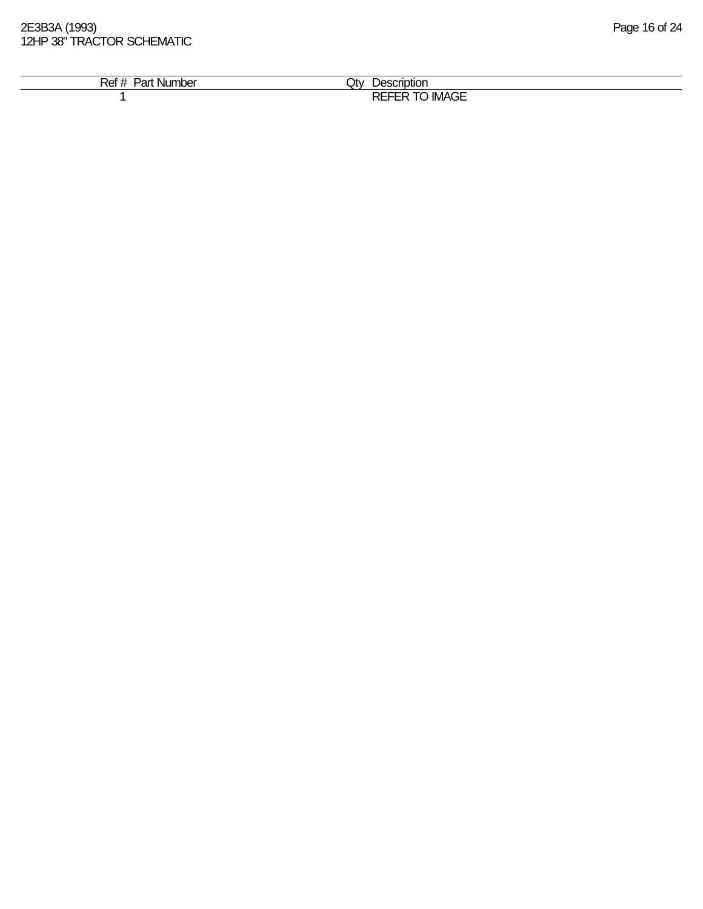2E3B3A (1993) Page 16 of 24 12HP 38" TRACTOR SCHEMATIC

| ₹et<br><b>Number</b><br>⊇ar | Jtv.<br>Jescription                                                |
|-----------------------------|--------------------------------------------------------------------|
|                             | $\cdots$<br>------<br><b>REF</b><br>--<br><b>IMAGE</b><br>-<br>--- |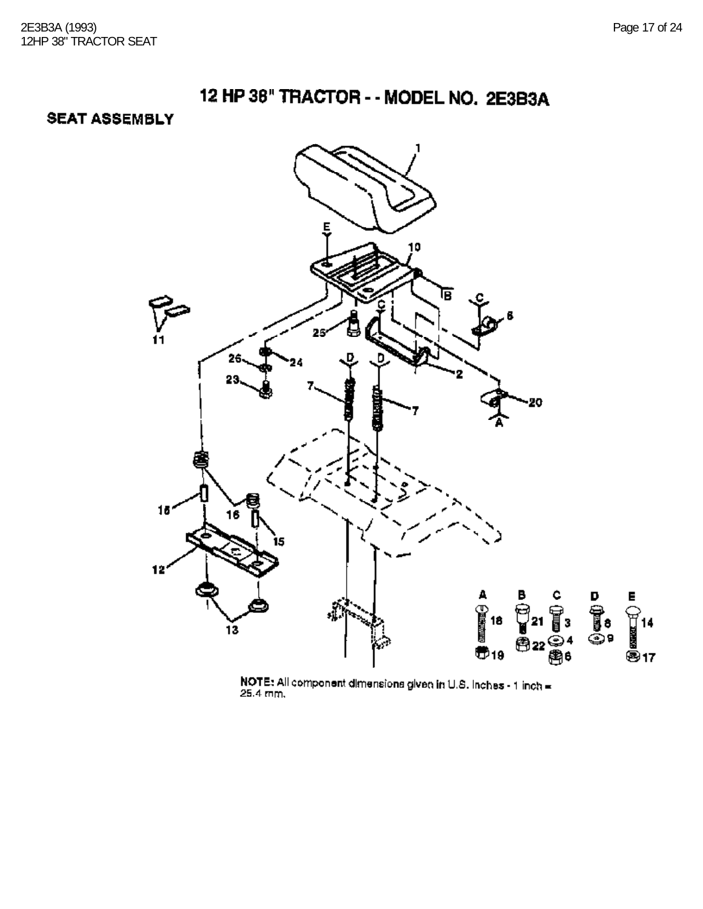**SEAT ASSEMBLY** 



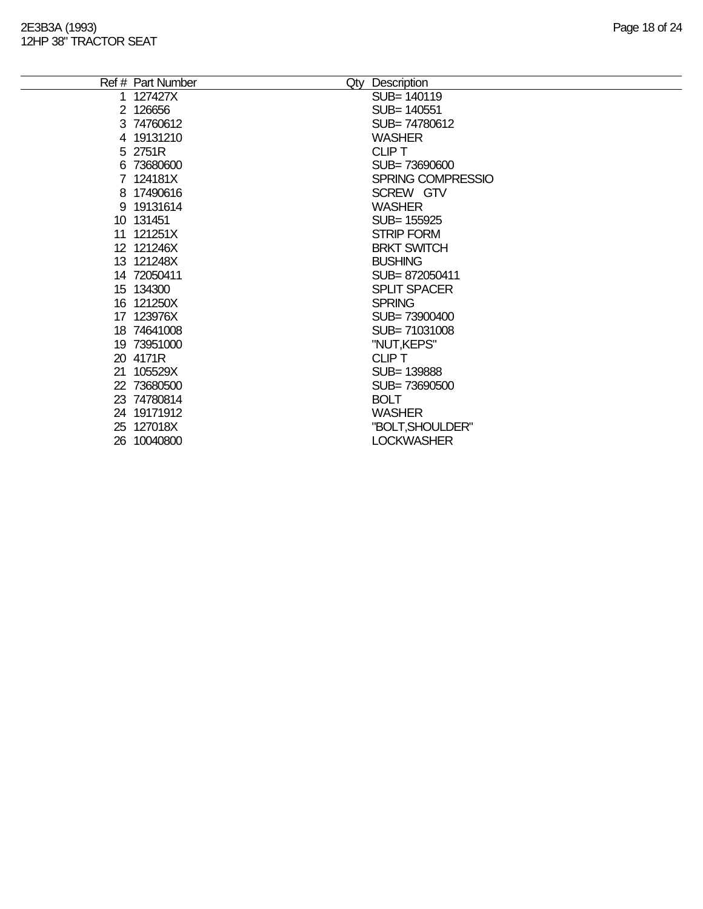| Ref # Part Number | Qty Description     |
|-------------------|---------------------|
| 127427X           | SUB= 140119         |
| 2 126656          | SUB= 140551         |
| 3 74760612        | SUB=74780612        |
| 4 19131210        | <b>WASHER</b>       |
| 5 2751R           | <b>CLIPT</b>        |
| 6 73680600        | SUB=73690600        |
| 7 124181X         | SPRING COMPRESSIO   |
| 8 17490616        | SCREW GTV           |
| 9 19131614        | <b>WASHER</b>       |
| 10 131451         | SUB= 155925         |
| 11 121251X        | <b>STRIP FORM</b>   |
| 12 121246X        | <b>BRKT SWITCH</b>  |
| 13 121248X        | <b>BUSHING</b>      |
| 14 72050411       | SUB=872050411       |
| 15 134300         | <b>SPLIT SPACER</b> |
| 16 121250X        | <b>SPRING</b>       |
| 17 123976X        | SUB= 73900400       |
| 18 74641008       | SUB=71031008        |
| 19 73951000       | "NUT,KEPS"          |
| 20 4171R          | <b>CLIP T</b>       |
| 21 105529X        | SUB=139888          |
| 22 73680500       | SUB=73690500        |
| 23 74780814       | <b>BOLT</b>         |
| 24 19171912       | <b>WASHER</b>       |
| 25 127018X        | "BOLT, SHOULDER"    |
| 26 10040800       | <b>LOCKWASHER</b>   |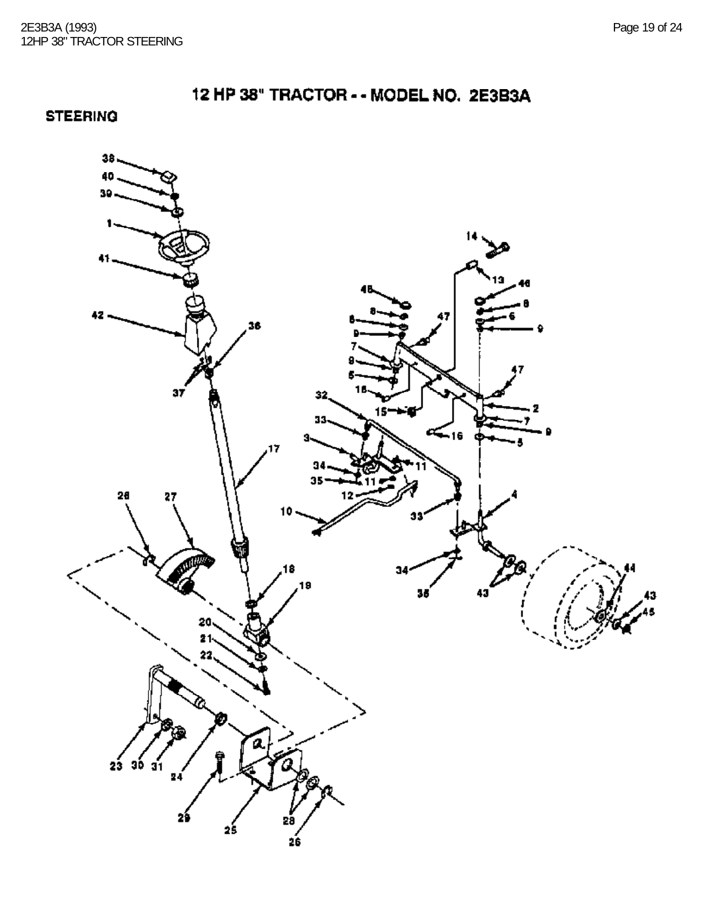32.

s.

 $\leq_{16}$ 

 $34<sub>°</sub>$ 

2ś

**STEERING**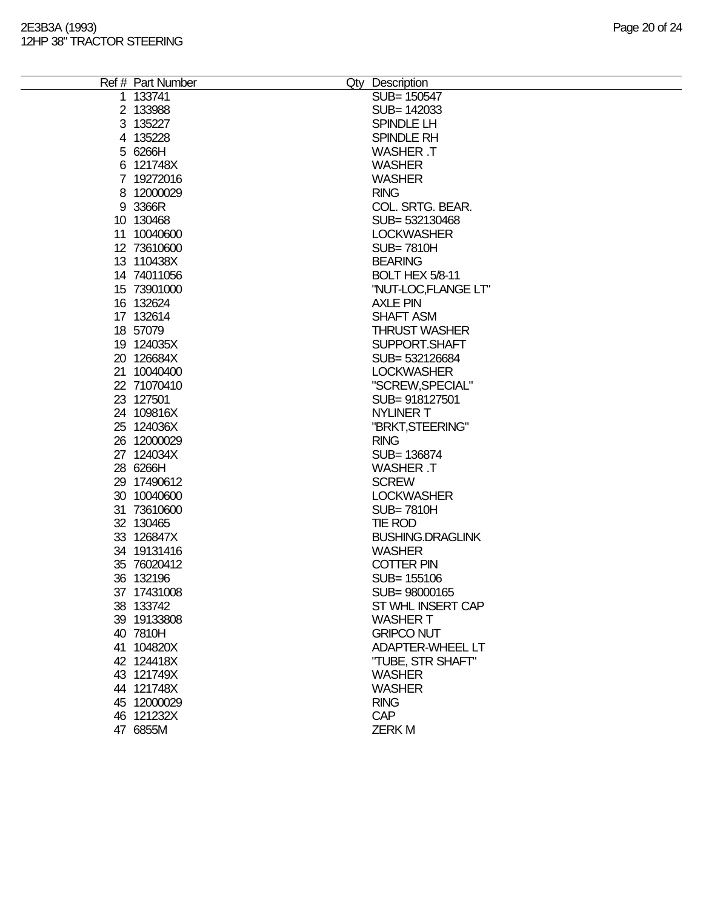| Ref # Part Number | Qty Description         |
|-------------------|-------------------------|
| 1 133741          | SUB= 150547             |
| 2 133988          | SUB= 142033             |
| 3 135227          | SPINDLE LH              |
| 4 135228          | SPINDLE RH              |
| 5 6266H           | <b>WASHER T</b>         |
| 6 121748X         | <b>WASHER</b>           |
| 7 19272016        | <b>WASHER</b>           |
| 8 12000029        | <b>RING</b>             |
|                   | COL. SRTG. BEAR.        |
| 9 3366R           |                         |
| 10 130468         | SUB= 532130468          |
| 11 10040600       | <b>LOCKWASHER</b>       |
| 12 73610600       | <b>SUB=7810H</b>        |
| 13 110438X        | <b>BEARING</b>          |
| 14 74011056       | <b>BOLT HEX 5/8-11</b>  |
| 15 73901000       | "NUT-LOC,FLANGE LT"     |
| 16 132624         | <b>AXLE PIN</b>         |
| 17 132614         | <b>SHAFT ASM</b>        |
| 18 57079          | <b>THRUST WASHER</b>    |
| 19 124035X        | SUPPORT.SHAFT           |
| 20 126684X        | SUB= 532126684          |
| 21 10040400       | <b>LOCKWASHER</b>       |
| 22 71070410       | "SCREW, SPECIAL"        |
| 23 127501         | SUB= 918127501          |
| 24 109816X        | <b>NYLINER T</b>        |
| 25 124036X        | "BRKT, STEERING"        |
|                   |                         |
| 26 12000029       | <b>RING</b>             |
| 27 124034X        | SUB= 136874             |
| 28 6266H          | <b>WASHER T</b>         |
| 29 17490612       | <b>SCREW</b>            |
| 30 10040600       | <b>LOCKWASHER</b>       |
| 31 73610600       | <b>SUB=7810H</b>        |
| 32 130465         | <b>TIE ROD</b>          |
| 33 126847X        | <b>BUSHING.DRAGLINK</b> |
| 34 19131416       | <b>WASHER</b>           |
| 35 76020412       | <b>COTTER PIN</b>       |
| 36 132196         | SUB= 155106             |
| 37 17431008       | SUB=98000165            |
| 38 133742         | ST WHL INSERT CAP       |
| 39 19133808       | <b>WASHER T</b>         |
| 40 7810H          | <b>GRIPCO NUT</b>       |
| 41 104820X        | <b>ADAPTER-WHEEL LT</b> |
| 42 124418X        | "TUBE, STR SHAFT"       |
| 43 121749X        | <b>WASHER</b>           |
| 44 121748X        | <b>WASHER</b>           |
| 45 12000029       | <b>RING</b>             |
| 46 121232X        | <b>CAP</b>              |
|                   | <b>ZERKM</b>            |
| 47 6855M          |                         |
|                   |                         |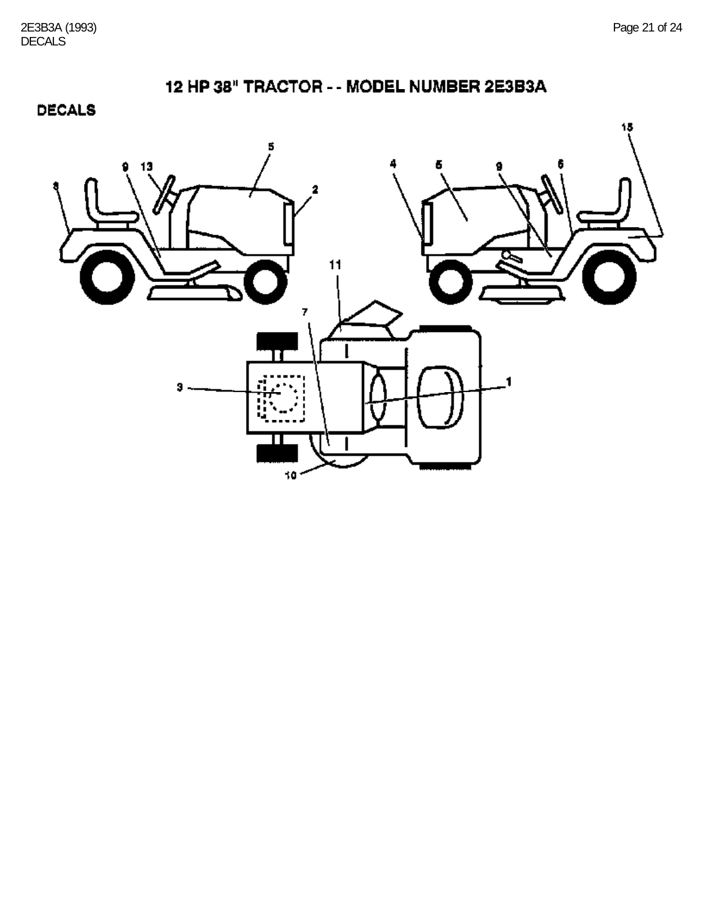**DECALS** 

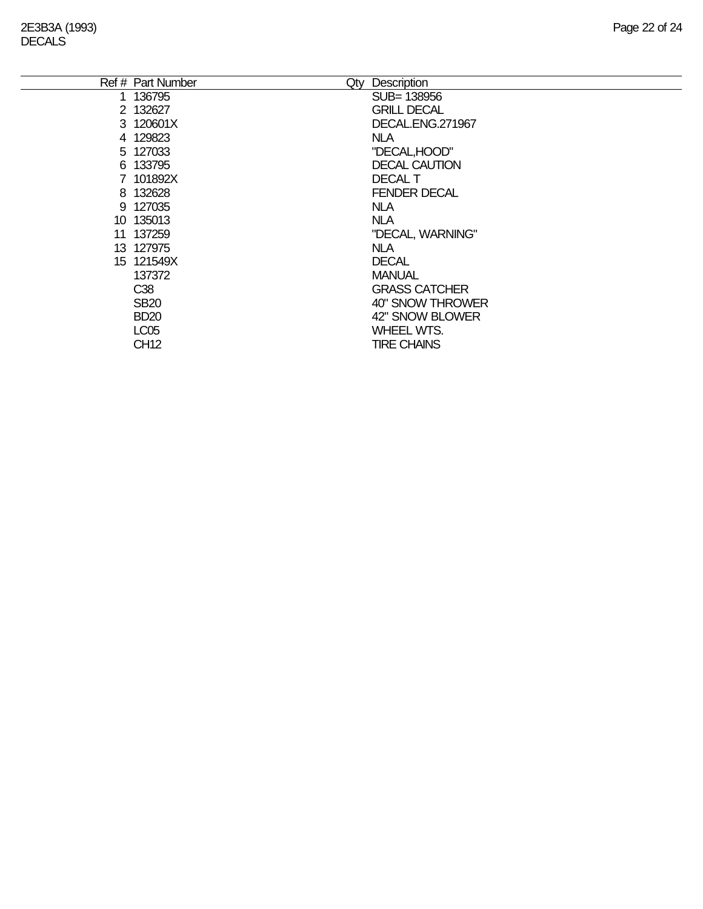| Ref # Part Number | Qty | Description          |
|-------------------|-----|----------------------|
| 1 136795          |     | SUB= 138956          |
| 2 132627          |     | <b>GRILL DECAL</b>   |
| 3 120601X         |     | DECAL.ENG.271967     |
| 4 129823          |     | <b>NLA</b>           |
| 5 127033          |     | "DECAL, HOOD"        |
| 6 133795          |     | <b>DECAL CAUTION</b> |
| 7 101892X         |     | <b>DECAL T</b>       |
| 8 132628          |     | <b>FENDER DECAL</b>  |
| 9 127035          |     | <b>NLA</b>           |
| 10 135013         |     | <b>NLA</b>           |
| 11 137259         |     | "DECAL, WARNING"     |
| 13 127975         |     | <b>NLA</b>           |
| 15 121549X        |     | <b>DECAL</b>         |
| 137372            |     | <b>MANUAL</b>        |
| C38               |     | <b>GRASS CATCHER</b> |
| <b>SB20</b>       |     | 40" SNOW THROWER     |
| <b>BD20</b>       |     | 42" SNOW BLOWER      |
| <b>LC05</b>       |     | <b>WHEEL WTS.</b>    |
| <b>CH12</b>       |     | <b>TIRE CHAINS</b>   |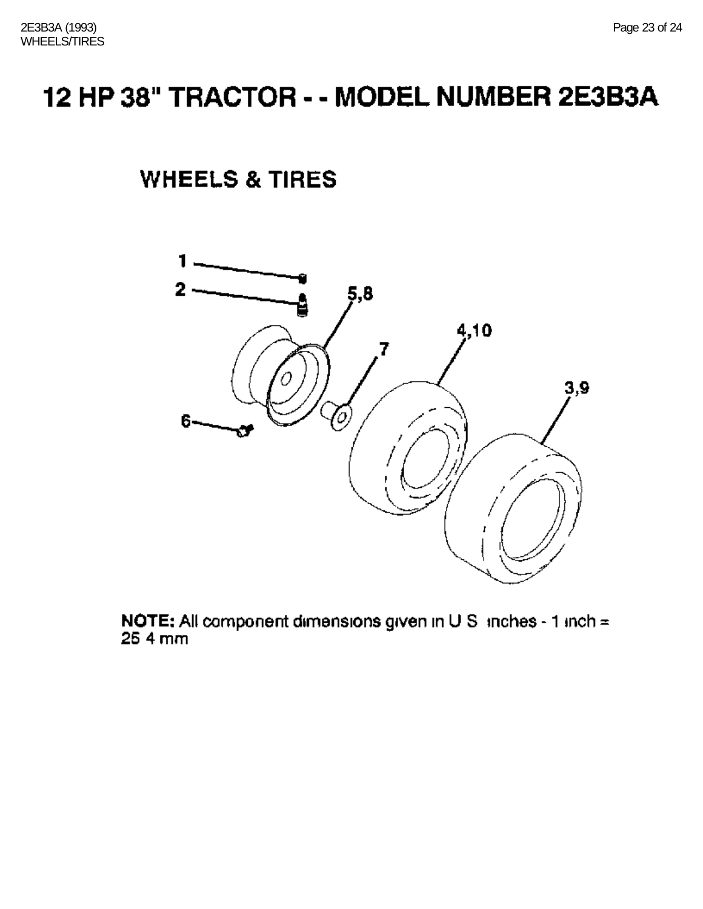## **WHEELS & TIRES**



NOTE: All component dimensions given in U.S. inches - 1 inch =  $25.4$  mm